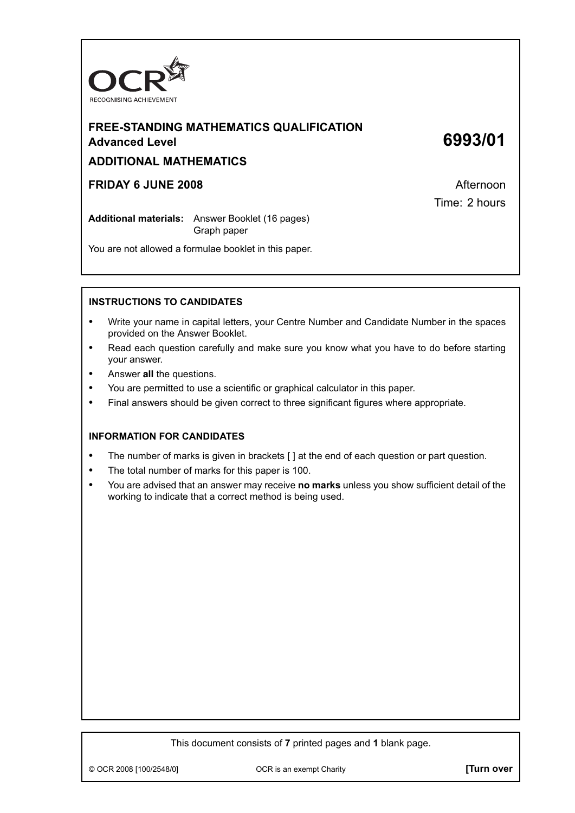

# **FREE-STANDING MATHEMATICS QUALIFICATION Advanced Level 6993/01**

**ADDITIONAL MATHEMATICS**

**FRIDAY 6 JUNE 2008** Afternoon

Time: 2 hours

**Additional materials:** Answer Booklet (16 pages) Graph paper

You are not allowed a formulae booklet in this paper.

# **INSTRUCTIONS TO CANDIDATES**

- **•** Write your name in capital letters, your Centre Number and Candidate Number in the spaces provided on the Answer Booklet.
- **•** Read each question carefully and make sure you know what you have to do before starting your answer.
- **•** Answer **all** the questions.
- **•** You are permitted to use a scientific or graphical calculator in this paper.
- **•** Final answers should be given correct to three significant figures where appropriate.

# **INFORMATION FOR CANDIDATES**

- **•** The number of marks is given in brackets [ ] at the end of each question or part question.
- **•** The total number of marks for this paper is 100.
- **•** You are advised that an answer may receive **no marks** unless you show sufficient detail of the working to indicate that a correct method is being used.

This document consists of **7** printed pages and **1** blank page.

© OCR 2008 [100/2548/0] OCR is an exempt Charity **[Turn over**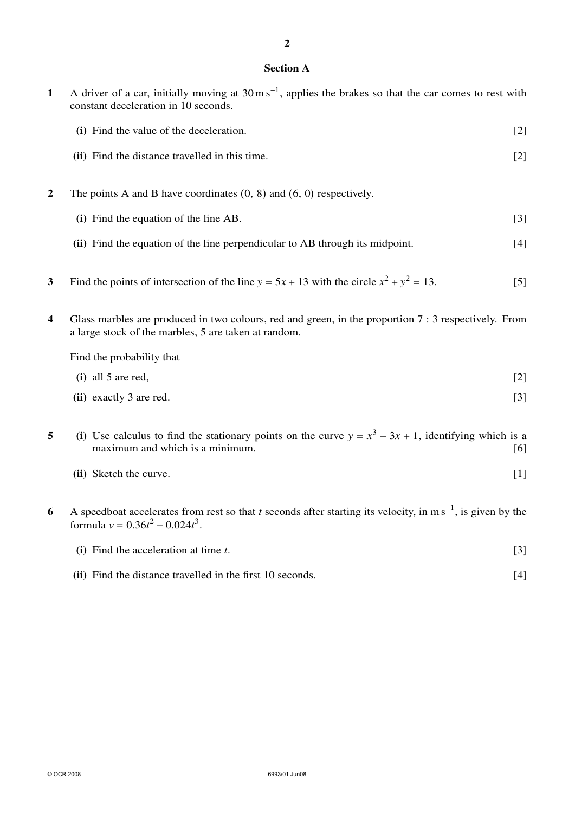#### **Section A**

| $\mathbf{1}$            | A driver of a car, initially moving at $30 \text{ m s}^{-1}$ , applies the brakes so that the car comes to rest with<br>constant deceleration in 10 seconds. |       |
|-------------------------|--------------------------------------------------------------------------------------------------------------------------------------------------------------|-------|
|                         | (i) Find the value of the deceleration.                                                                                                                      | $[2]$ |
|                         | (ii) Find the distance travelled in this time.                                                                                                               | $[2]$ |
| $\overline{2}$          | The points A and B have coordinates $(0, 8)$ and $(6, 0)$ respectively.                                                                                      |       |
|                         | (i) Find the equation of the line AB.                                                                                                                        | $[3]$ |
|                         | (ii) Find the equation of the line perpendicular to AB through its midpoint.                                                                                 | $[4]$ |
| 3                       | Find the points of intersection of the line $y = 5x + 13$ with the circle $x^2 + y^2 = 13$ .                                                                 | $[5]$ |
| $\overline{\mathbf{4}}$ | Glass marbles are produced in two colours, red and green, in the proportion 7 : 3 respectively. From<br>a large stock of the marbles, 5 are taken at random. |       |
|                         | Find the probability that                                                                                                                                    |       |
|                         | $(i)$ all 5 are red,                                                                                                                                         | $[2]$ |
|                         | (ii) exactly 3 are red.                                                                                                                                      | $[3]$ |
| 5                       | (i) Use calculus to find the stationary points on the curve $y = x^3 - 3x + 1$ , identifying which is a<br>maximum and which is a minimum.                   | [6]   |
|                         | (ii) Sketch the curve.                                                                                                                                       | $[1]$ |

**6** A speedboat accelerates from rest so that *t* seconds after starting its velocity, in m s<sup>-1</sup>, is given by the formula  $v = 0.36t^2 - 0.024t^3$ .

| $(i)$ Find the acceleration at time t. |  |
|----------------------------------------|--|
|                                        |  |

**(ii)** Find the distance travelled in the first 10 seconds. [4]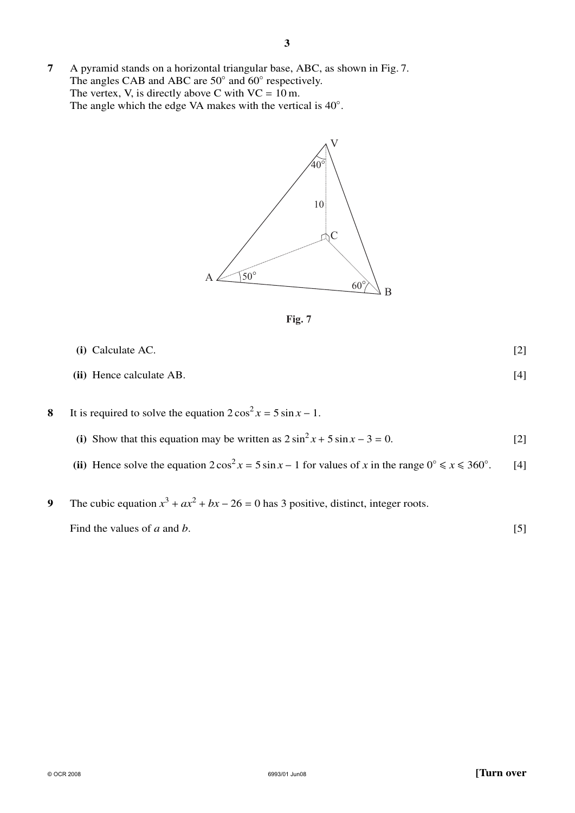**7** A pyramid stands on a horizontal triangular base, ABC, as shown in Fig. 7. The angles CAB and ABC are 50 $\degree$  and 60 $\degree$  respectively. The vertex, V, is directly above C with  $VC = 10$  m. The angle which the edge VA makes with the vertical is  $40^\circ$ .





| (i) Calculate AC. | $[2]$ |
|-------------------|-------|
|                   |       |

- **(ii)** Hence calculate AB. [4]
- **8** It is required to solve the equation  $2\cos^2 x = 5\sin x 1$ .
	- (i) Show that this equation may be written as  $2 \sin^2 x + 5 \sin x 3 = 0$ . [2]
	- (ii) Hence solve the equation  $2\cos^2 x = 5\sin x 1$  for values of *x* in the range  $0^\circ \le x \le 360^\circ$ .  $[4]$
- **9** The cubic equation  $x^3 + ax^2 + bx 26 = 0$  has 3 positive, distinct, integer roots. Find the values of *a* and *b*. [5]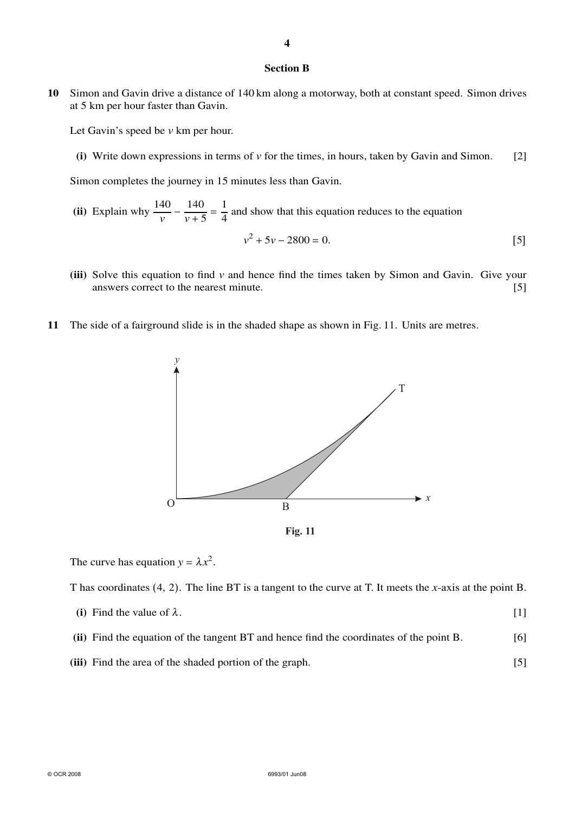#### **Section B**

**4**

**10** Simon and Gavin drive a distance of 140 km along a motorway, both at constant speed. Simon drives at 5 km per hour faster than Gavin.

Let Gavin's speed be *v* km per hour.

**(i)** Write down expressions in terms of *v* for the times, in hours, taken by Gavin and Simon. [2]

Simon completes the journey in 15 minutes less than Gavin.

(ii) Explain why 
$$
\frac{140}{v} - \frac{140}{v+5} = \frac{1}{4}
$$
 and show that this equation reduces to the equation  

$$
v^2 + 5v - 2800 = 0.
$$
 [5]

- **(iii)** Solve this equation to find *v* and hence find the times taken by Simon and Gavin. Give your answers correct to the nearest minute. [5]
- **11** The side of a fairground slide is in the shaded shape as shown in Fig. 11. Units are metres.



**Fig. 11**

The curve has equation  $y = \lambda x^2$ .

T has coordinates (4, 2). The line BT is a tangent to the curve at T. It meets the *x*-axis at the point B.

(i) Find the value of 
$$
\lambda
$$
. [1]

**(ii)** Find the equation of the tangent BT and hence find the coordinates of the point B. [6]

**(iii)** Find the area of the shaded portion of the graph. [5]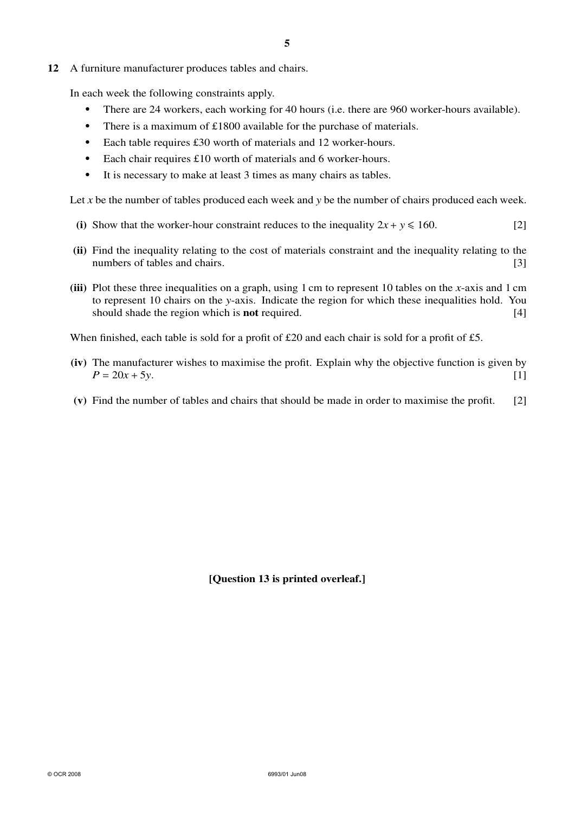### **12** A furniture manufacturer produces tables and chairs.

In each week the following constraints apply.

- There are 24 workers, each working for 40 hours (i.e. there are 960 worker-hours available).
- **•** There is a maximum of £1800 available for the purchase of materials.
- **•** Each table requires £30 worth of materials and 12 worker-hours.
- **•** Each chair requires £10 worth of materials and 6 worker-hours.
- **•** It is necessary to make at least 3 times as many chairs as tables.

Let *x* be the number of tables produced each week and *y* be the number of chairs produced each week.

- (i) Show that the worker-hour constraint reduces to the inequality  $2x + y \le 160$ . [2]
- **(ii)** Find the inequality relating to the cost of materials constraint and the inequality relating to the numbers of tables and chairs. [3] [3]
- **(iii)** Plot these three inequalities on a graph, using 1 cm to represent 10 tables on the *x*-axis and 1 cm to represent 10 chairs on the *y*-axis. Indicate the region for which these inequalities hold. You should shade the region which is **not** required. [4]

When finished, each table is sold for a profit of £20 and each chair is sold for a profit of £5.

- **(iv)** The manufacturer wishes to maximise the profit. Explain why the objective function is given by  $P = 20x + 5y$ . [1]
- **(v)** Find the number of tables and chairs that should be made in order to maximise the profit. [2]

## **[Question 13 is printed overleaf.]**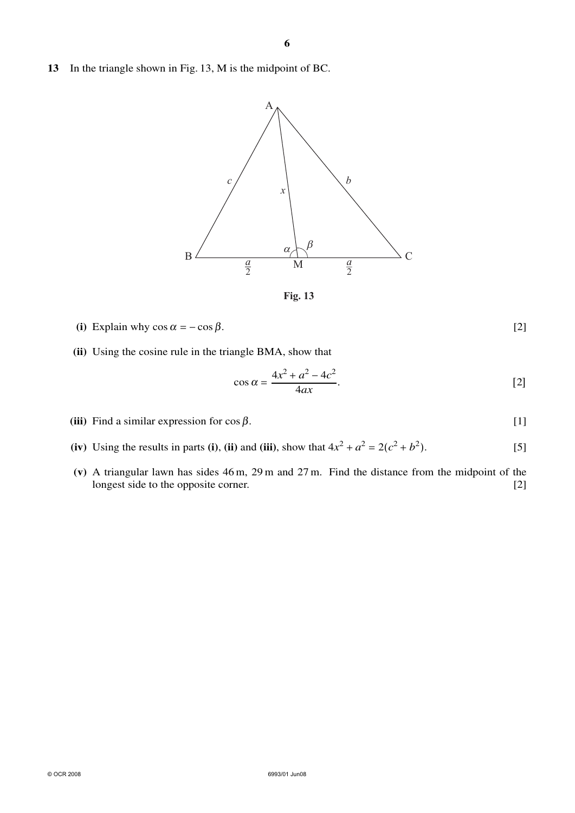**13** In the triangle shown in Fig. 13, M is the midpoint of BC.



**Fig. 13**

- (i) Explain why  $\cos \alpha = -\cos \beta$ . [2]
- **(ii)** Using the cosine rule in the triangle BMA, show that

$$
\cos \alpha = \frac{4x^2 + a^2 - 4c^2}{4ax}.
$$
 [2]

(iii) Find a similar expression for  $\cos \beta$ . [1]

- **(iv)** Using the results in parts **(i)**, **(ii)** and **(iii)**, show that  $4x^2 + a^2 = 2(c^2 + b^2)$ . ). [5]
- **(v)** A triangular lawn has sides 46 m, 29 m and 27 m. Find the distance from the midpoint of the longest side to the opposite corner. [2]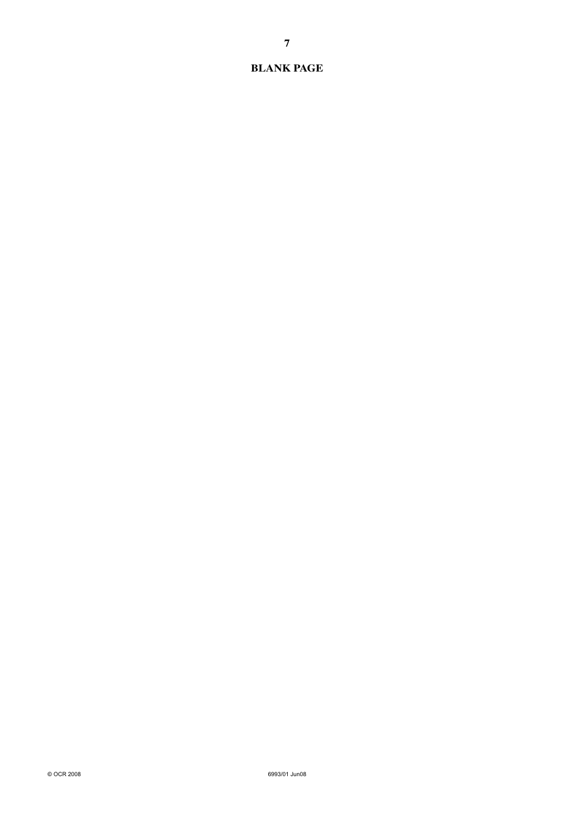# **BLANK PAGE**